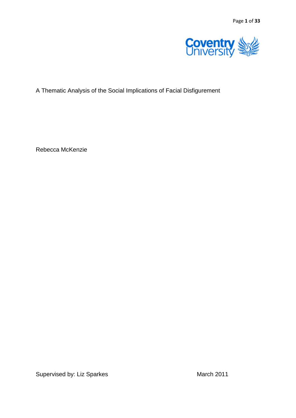

# A Thematic Analysis of the Social Implications of Facial Disfigurement

Rebecca McKenzie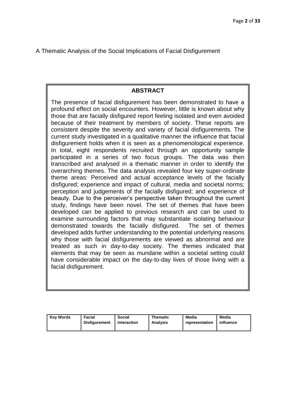A Thematic Analysis of the Social Implications of Facial Disfigurement

# **ABSTRACT**

The presence of facial disfigurement has been demonstrated to have a profound effect on social encounters. However, little is known about why those that are facially disfigured report feeling isolated and even avoided because of their treatment by members of society. These reports are consistent despite the severity and variety of facial disfigurements. The current study investigated in a qualitative manner the influence that facial disfigurement holds when it is seen as a phenomenological experience. In total, eight respondents recruited through an opportunity sample participated in a series of two focus groups. The data was then transcribed and analysed in a thematic manner in order to identify the overarching themes. The data analysis revealed four key super-ordinate theme areas: Perceived and actual acceptance levels of the facially disfigured; experience and impact of cultural, media and societal norms; perception and judgements of the facially disfigured; and experience of beauty. Due to the perceiver"s perspective taken throughout the current study, findings have been novel. The set of themes that have been developed can be applied to previous research and can be used to examine surrounding factors that may substantiate isolating behaviour demonstrated towards the facially disfigured. The set of themes developed adds further understanding to the potential underlying reasons why those with facial disfigurements are viewed as abnormal and are treated as such in day-to-day society. The themes indicated that elements that may be seen as mundane within a societal setting could have considerable impact on the day-to-day lives of those living with a facial disfigurement.

| <b>Kev Words</b><br>Facial<br>Disfiaurement | Social<br>I Interaction | Thematic<br><b>Analysis</b> | Media<br>representation | Media<br>influence |
|---------------------------------------------|-------------------------|-----------------------------|-------------------------|--------------------|
|---------------------------------------------|-------------------------|-----------------------------|-------------------------|--------------------|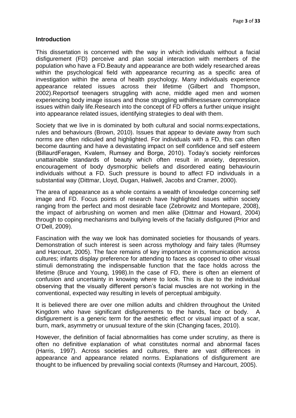#### **Introduction**

This dissertation is concerned with the way in which individuals without a facial disfigurement (FD) perceive and plan social interaction with members of the population who have a FD.Beauty and appearance are both widely researched areas within the psychological field with appearance recurring as a specific area of investigation within the arena of health psychology. Many individuals experience appearance related issues across their lifetime (Gilbert and Thompson, 2002).Reportsof teenagers struggling with acne, middle aged men and women experiencing body image issues and those struggling withillnessesare commonplace issues within daily life.Research into the concept of FD offers a further unique insight into appearance related issues, identifying strategies to deal with them.

Society that we live in is dominated by both cultural and social norms:expectations, rules and behaviours (Brown, 2010). Issues that appear to deviate away from such norms are often ridiculed and highlighted. For individuals with a FD, this can often become daunting and have a devastating impact on self confidence and self esteem (BillaurdFeragen, Kvalem, Rumsey and Borge, 2010). Today"s society reinforces unattainable standards of beauty which often result in anxiety, depression, encouragement of body dysmorphic beliefs and disordered eating behaviourin individuals without a FD. Such pressure is bound to affect FD individuals in a substantial way (Dittmar, Lloyd, Dugan, Haliwell, Jacobs and Cramer, 2000).

The area of appearance as a whole contains a wealth of knowledge concerning self image and FD. Focus points of research have highlighted issues within society ranging from the perfect and most desirable face (Zebrowitz and Montepare, 2008), the impact of airbrushing on women and men alike (Dittmar and Howard, 2004) through to coping mechanisms and bullying levels of the facially disfigured (Prior and O"Dell, 2009).

Fascination with the way we look has dominated societies for thousands of years. Demonstration of such interest is seen across mythology and fairy tales (Rumsey and Harcourt, 2005). The face remains of key importance in communication across cultures; infants display preference for attending to faces as opposed to other visual stimuli demonstrating the indispensable function that the face holds across the lifetime (Bruce and Young, 1998).In the case of FD, there is often an element of confusion and uncertainty in knowing where to look. This is due to the individual observing that the visually different person"s facial muscles are not working in the conventional, expected way resulting in levels of perceptual ambiguity.

It is believed there are over one million adults and children throughout the United Kingdom who have significant disfigurements to the hands, face or body. A disfigurement is a generic term for the aesthetic effect or visual impact of a scar, burn, mark, asymmetry or unusual texture of the skin (Changing faces, 2010).

However, the definition of facial abnormalities has come under scrutiny, as there is often no definitive explanation of what constitutes normal and abnormal faces (Harris, 1997). Across societies and cultures, there are vast differences in appearance and appearance related norms. Explanations of disfigurement are thought to be influenced by prevailing social contexts (Rumsey and Harcourt, 2005).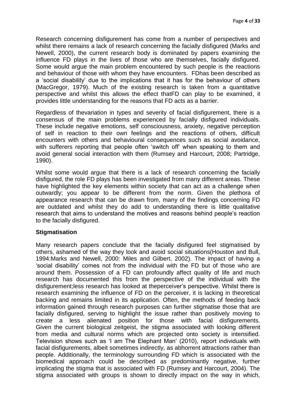Research concerning disfigurement has come from a number of perspectives and whilst there remains a lack of research concerning the facially disfigured (Marks and Newell, 2000), the current research body is dominated by papers examining the influence FD plays in the lives of those who are themselves, facially disfigured. Some would argue the main problem encountered by such people is the reactions and behaviour of those with whom they have encounters. FDhas been described as a "social disability" due to the implications that it has for the behaviour of others (MacGregor, 1979). Much of the existing research is taken from a quantitative perspective and whilst this allows the effect thatFD can play to be examined, it provides little understanding for the reasons that FD acts as a barrier.

Regardless of thevariation in types and severity of facial disfigurement, there is a consensus of the main problems experienced by facially disfigured individuals. These include negative emotions, self consciousness, anxiety, negative perception of self in reaction to their own feelings and the reactions of others, difficult encounters with others and behavioural consequences such as social avoidance, with sufferers reporting that people often 'switch off' when speaking to them and avoid general social interaction with them (Rumsey and Harcourt, 2008; Partridge, 1990).

Whilst some would argue that there is a lack of research concerning the facially disfigured, the role FD plays has been investigated from many different areas. These have highlighted the key elements within society that can act as a challenge when outwardly; you appear to be different from the norm. Given the plethora of appearance research that can be drawn from, many of the findings concerning FD are outdated and whilst they do add to understanding there is little qualitative research that aims to understand the motives and reasons behind people"s reaction to the facially disfigured.

#### **Stigmatisation**

Many research papers conclude that the facially disfigured feel stigmatised by others, ashamed of the way they look and avoid social situations(Houston and Bull, 1994:Marks and Newell, 2000: Miles and Gilbert, 2002). The impact of having a "social disability" comes not from the individual with the FD but of those who are around them. Possession of a FD can profoundly affect quality of life and much research has documented this from the perspective of the individual with the disfigurement;less research has looked at theperceiver"s perspective. Whilst there is research examining the influence of FD on the perceiver, it is lacking in theoretical backing and remains limited in its application. Often, the methods of feeding back information gained through research purposes can further stigmatise those that are facially disfigured, serving to highlight the issue rather than positively moving to create a less alienated position for those with facial disfigurements. Given the current biological zeitgeist, the stigma associated with looking different from media and cultural norms which are projected onto society is intensified. Television shows such as "I am The Elephant Man" (2010), report individuals with facial disfigurements, albeit sometimes indirectly, as abhorrent attractions rather than people. Additionally, the terminology surrounding FD which is associated with the biomedical approach could be described as predominantly negative, further implicating the stigma that is associated with FD (Rumsey and Harcourt, 2004). The stigma associated with groups is shown to directly impact on the way in which,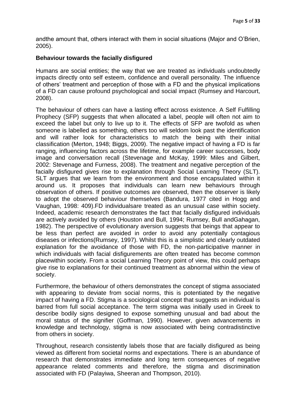andthe amount that, others interact with them in social situations (Major and O"Brien, 2005).

#### **Behaviour towards the facially disfigured**

Humans are social entities; the way that we are treated as individuals undoubtedly impacts directly onto self esteem, confidence and overall personality. The influence of others" treatment and perception of those with a FD and the physical implications of a FD can cause profound psychological and social impact (Rumsey and Harcourt, 2008).

The behaviour of others can have a lasting effect across existence. A Self Fulfilling Prophecy (SFP) suggests that when allocated a label, people will often not aim to exceed the label but only to live up to it. The effects of SFP are twofold as when someone is labelled as something, others too will seldom look past the identification and will rather look for characteristics to match the being with their initial classification (Merton, 1948; Biggs, 2009). The negative impact of having a FD is far ranging, influencing factors across the lifetime, for example career successes, body image and conversation recall (Stevenage and McKay, 1999: Miles and Gilbert, 2002: Stevenage and Furness, 2008). The treatment and negative perception of the facially disfigured gives rise to explanation through Social Learning Theory (SLT). SLT argues that we learn from the environment and those encapsulated within it around us. It proposes that individuals can learn new behaviours through observation of others. If positive outcomes are observed, then the observer is likely to adopt the observed behaviour themselves (Bandura, 1977 cited in Hogg and Vaughan, 1998: 409).FD individualsare treated as an unusual case within society. Indeed, academic research demonstrates the fact that facially disfigured individuals are actively avoided by others (Houston and Bull, 1994; Rumsey, Bull andGahagan, 1982). The perspective of evolutionary aversion suggests that beings that appear to be less than perfect are avoided in order to avoid any potentially contagious diseases or infections(Rumsey, 1997). Whilst this is a simplistic and clearly outdated explanation for the avoidance of those with FD, the non-participative manner in which individuals with facial disfigurements are often treated has become common placewithin society. From a social Learning Theory point of view, this could perhaps give rise to explanations for their continued treatment as abnormal within the view of society.

Furthermore, the behaviour of others demonstrates the concept of stigma associated with appearing to deviate from social norms, this is potentiated by the negative impact of having a FD. Stigma is a sociological concept that suggests an individual is barred from full social acceptance. The term stigma was initially used in Greek to describe bodily signs designed to expose something unusual and bad about the moral status of the signifier (Goffman, 1990). However, given advancements in knowledge and technology, stigma is now associated with being contradistinctive from others in society.

Throughout, research consistently labels those that are facially disfigured as being viewed as different from societal norms and expectations. There is an abundance of research that demonstrates immediate and long term consequences of negative appearance related comments and therefore, the stigma and discrimination associated with FD (Palayiwa, Sheeran and Thompson, 2010).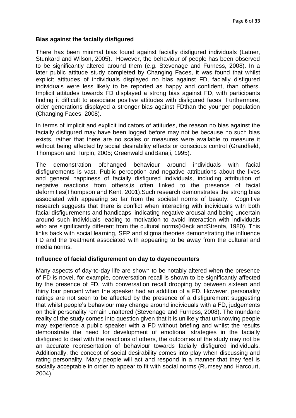# **Bias against the facially disfigured**

There has been minimal bias found against facially disfigured individuals (Latner, Stunkard and Wilson, 2005). However, the behaviour of people has been observed to be significantly altered around them (e.g. Stevenage and Furness, 2008). In a later public attitude study completed by Changing Faces, it was found that whilst explicit attitudes of individuals displayed no bias against FD, facially disfigured individuals were less likely to be reported as happy and confident, than others. Implicit attitudes towards FD displayed a strong bias against FD, with participants finding it difficult to associate positive attitudes with disfigured faces. Furthermore, older generations displayed a stronger bias against FDthan the younger population (Changing Faces, 2008).

In terms of implicit and explicit indicators of attitudes, the reason no bias against the facially disfigured may have been logged before may not be because no such bias exists, rather that there are no scales or measures were available to measure it without being affected by social desirability effects or conscious control (Grandfield, Thompson and Turpin, 2005; Greenwald andBanaji, 1995).

The demonstration ofchanged behaviour around individuals with facial disfigurements is vast. Public perception and negative attributions about the lives and general happiness of facially disfigured individuals, including attribution of negative reactions from others,is often linked to the presence of facial deformities(Thompson and Kent, 2001).Such research demonstrates the strong bias associated with appearing so far from the societal norms of beauty. Cognitive research suggests that there is conflict when interacting with individuals with both facial disfigurements and handicaps, indicating negative arousal and being uncertain around such individuals leading to motivation to avoid interaction with individuals who are significantly different from the cultural norms(Kleck andStrenta, 1980). This links back with social learning, SFP and stigma theories demonstrating the influence FD and the treatment associated with appearing to be away from the cultural and media norms.

#### **Influence of facial disfigurement on day to dayencounters**

Many aspects of day-to-day life are shown to be notably altered when the presence of FD is novel, for example, conversation recall is shown to be significantly affected by the presence of FD, with conversation recall dropping by between sixteen and thirty four percent when the speaker had an addition of a FD. However, personality ratings are not seen to be affected by the presence of a disfigurement suggesting that whilst people"s behaviour may change around individuals with a FD, judgements on their personality remain unaltered (Stevenage and Furness, 2008). The mundane reality of the study comes into question given that it is unlikely that unknowing people may experience a public speaker with a FD without briefing and whilst the results demonstrate the need for development of emotional strategies in the facially disfigured to deal with the reactions of others, the outcomes of the study may not be an accurate representation of behaviour towards facially disfigured individuals. Additionally, the concept of social desirability comes into play when discussing and rating personality. Many people will act and respond in a manner that they feel is socially acceptable in order to appear to fit with social norms (Rumsey and Harcourt, 2004).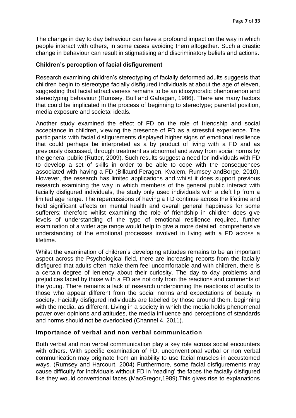The change in day to day behaviour can have a profound impact on the way in which people interact with others, in some cases avoiding them altogether. Such a drastic change in behaviour can result in stigmatising and discriminatory beliefs and actions.

# **Children's perception of facial disfigurement**

Research examining children"s stereotyping of facially deformed adults suggests that children begin to stereotype facially disfigured individuals at about the age of eleven, suggesting that facial attractiveness remains to be an idiosyncratic phenomenon and stereotyping behaviour (Rumsey, Bull and Gahagan, 1986). There are many factors that could be implicated in the process of beginning to stereotype; parental position, media exposure and societal ideals.

Another study examined the effect of FD on the role of friendship and social acceptance in children, viewing the presence of FD as a stressful experience. The participants with facial disfigurements displayed higher signs of emotional resilience that could perhaps be interpreted as a by product of living with a FD and as previously discussed, through treatment as abnormal and away from social norms by the general public (Rutter, 2009). Such results suggest a need for individuals with FD to develop a set of skills in order to be able to cope with the consequences associated with having a FD (Billaurd,Feragen, Kvalem, Rumsey andBorge, 2010). However, the research has limited applications and whilst it does support previous research examining the way in which members of the general public interact with facially disfigured individuals, the study only used individuals with a cleft lip from a limited age range. The repercussions of having a FD continue across the lifetime and hold significant effects on mental health and overall general happiness for some sufferers; therefore whilst examining the role of friendship in children does give levels of understanding of the type of emotional resilience required, further examination of a wider age range would help to give a more detailed, comprehensive understanding of the emotional processes involved in living with a FD across a lifetime.

Whilst the examination of children's developing attitudes remains to be an important aspect across the Psychological field, there are increasing reports from the facially disfigured that adults often make them feel uncomfortable and with children, there is a certain degree of leniency about their curiosity. The day to day problems and prejudices faced by those with a FD are not only from the reactions and comments of the young. There remains a lack of research underpinning the reactions of adults to those who appear different from the social norms and expectations of beauty in society. Facially disfigured individuals are labelled by those around them, beginning with the media, as different. Living in a society in which the media holds phenomenal power over opinions and attitudes, the media influence and perceptions of standards and norms should not be overlooked (Channel 4, 2011).

# **Importance of verbal and non verbal communication**

Both verbal and non verbal communication play a key role across social encounters with others. With specific examination of FD, unconventional verbal or non verbal communication may originate from an inability to use facial muscles in accustomed ways. (Rumsey and Harcourt, 2004) Furthermore, some facial disfigurements may cause difficulty for individuals without FD in "reading" the faces the facially disfigured like they would conventional faces (MacGregor,1989).This gives rise to explanations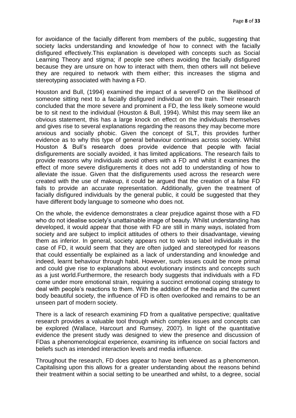for avoidance of the facially different from members of the public, suggesting that society lacks understanding and knowledge of how to connect with the facially disfigured effectively.This explanation is developed with concepts such as Social Learning Theory and stigma; if people see others avoiding the facially disfigured because they are unsure on how to interact with them, then others will not believe they are required to network with them either; this increases the stigma and stereotyping associated with having a FD.

Houston and Bull, (1994) examined the impact of a severeFD on the likelihood of someone sitting next to a facially disfigured individual on the train. Their research concluded that the more severe and prominent a FD, the less likely someone would be to sit next to the individual (Houston & Bull, 1994). Whilst this may seem like an obvious statement, this has a large knock on effect on the individuals themselves and gives rise to several explanations regarding the reasons they may become more anxious and socially phobic. Given the concept of SLT, this provides further evidence as to why this type of general behaviour continues across society. Whilst Houston & Bull"s research does provide evidence that people with facial disfigurements are socially avoided, it has limited applications. The research fails to provide reasons why individuals avoid others with a FD and whilst it examines the effect of more severe disfigurements it does not add to understanding of how to alleviate the issue. Given that the disfigurements used across the research were created with the use of makeup, it could be argued that the creation of a false FD fails to provide an accurate representation. Additionally, given the treatment of facially disfigured individuals by the general public, it could be suggested that they have different body language to someone who does not.

On the whole, the evidence demonstrates a clear prejudice against those with a FD who do not idealise society's unattainable image of beauty. Whilst understanding has developed, it would appear that those with FD are still in many ways, isolated from society and are subject to implicit attitudes of others to their disadvantage, viewing them as inferior. In general, society appears not to wish to label individuals in the case of FD, it would seem that they are often judged and stereotyped for reasons that could essentially be explained as a lack of understanding and knowledge and indeed, learnt behaviour through habit. However, such issues could be more primal and could give rise to explanations about evolutionary instincts and concepts such as a just world.Furthermore, the research body suggests that individuals with a FD come under more emotional strain, requiring a succinct emotional coping strategy to deal with people"s reactions to them. With the addition of the media and the current body beautiful society, the influence of FD is often overlooked and remains to be an unseen part of modern society.

There is a lack of research examining FD from a qualitative perspective; qualitative research provides a valuable tool through which complex issues and concepts can be explored (Wallace, Harcourt and Rumsey, 2007). In light of the quantitative evidence the present study was designed to view the presence and discussion of FDas a phenomenological experience, examining its influence on social factors and beliefs such as intended interaction levels and media influence.

Throughout the research, FD does appear to have been viewed as a phenomenon. Capitalising upon this allows for a greater understanding about the reasons behind their treatment within a social setting to be unearthed and whilst, to a degree, social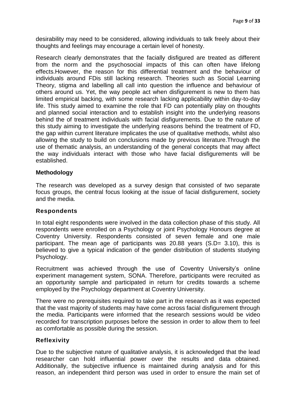desirability may need to be considered, allowing individuals to talk freely about their thoughts and feelings may encourage a certain level of honesty.

Research clearly demonstrates that the facially disfigured are treated as different from the norm and the psychosocial impacts of this can often have lifelong effects.However, the reason for this differential treatment and the behaviour of individuals around FDis still lacking research. Theories such as Social Learning Theory, stigma and labelling all call into question the influence and behaviour of others around us. Yet, the way people act when disfigurement is new to them has limited empirical backing, with some research lacking applicability within day-to-day life. This study aimed to examine the role that FD can potentially play on thoughts and planned social interaction and to establish insight into the underlying reasons behind the of treatment individuals with facial disfigurements. Due to the nature of this study aiming to investigate the underlying reasons behind the treatment of FD, the gap within current literature implicates the use of qualitative methods, whilst also allowing the study to build on conclusions made by previous literature.Through the use of thematic analysis, an understanding of the general concepts that may affect the way individuals interact with those who have facial disfigurements will be established.

#### **Methodology**

The research was developed as a survey design that consisted of two separate focus groups, the central focus looking at the issue of facial disfigurement, society and the media.

## **Respondents**

In total eight respondents were involved in the data collection phase of this study. All respondents were enrolled on a Psychology or joint Psychology Honours degree at Coventry University. Respondents consisted of seven female and one male participant. The mean age of participants was 20.88 years (S.D= 3.10), this is believed to give a typical indication of the gender distribution of students studying Psychology.

Recruitment was achieved through the use of Coventry University's online experiment management system, SONA. Therefore, participants were recruited as an opportunity sample and participated in return for credits towards a scheme employed by the Psychology department at Coventry University.

There were no prerequisites required to take part in the research as it was expected that the vast majority of students may have come across facial disfigurement through the media. Participants were informed that the research sessions would be video recorded for transcription purposes before the session in order to allow them to feel as comfortable as possible during the session.

#### **Reflexivity**

Due to the subjective nature of qualitative analysis, it is acknowledged that the lead researcher can hold influential power over the results and data obtained. Additionally, the subjective influence is maintained during analysis and for this reason, an independent third person was used in order to ensure the main set of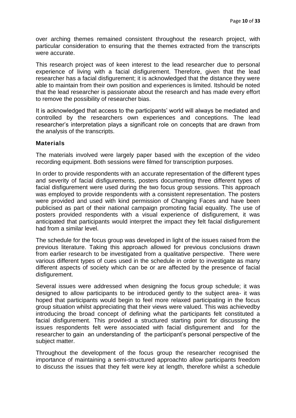over arching themes remained consistent throughout the research project, with particular consideration to ensuring that the themes extracted from the transcripts were accurate.

This research project was of keen interest to the lead researcher due to personal experience of living with a facial disfigurement. Therefore, given that the lead researcher has a facial disfigurement; it is acknowledged that the distance they were able to maintain from their own position and experiences is limited. Itshould be noted that the lead researcher is passionate about the research and has made every effort to remove the possibility of researcher bias.

It is acknowledged that access to the participants' world will always be mediated and controlled by the researchers own experiences and conceptions. The lead researcher"s interpretation plays a significant role on concepts that are drawn from the analysis of the transcripts.

#### **Materials**

The materials involved were largely paper based with the exception of the video recording equipment. Both sessions were filmed for transcription purposes.

In order to provide respondents with an accurate representation of the different types and severity of facial disfigurements, posters documenting three different types of facial disfigurement were used during the two focus group sessions. This approach was employed to provide respondents with a consistent representation. The posters were provided and used with kind permission of Changing Faces and have been publicised as part of their national campaign promoting facial equality. The use of posters provided respondents with a visual experience of disfigurement, it was anticipated that participants would interpret the impact they felt facial disfigurement had from a similar level.

The schedule for the focus group was developed in light of the issues raised from the previous literature. Taking this approach allowed for previous conclusions drawn from earlier research to be investigated from a qualitative perspective. There were various different types of cues used in the schedule in order to investigate as many different aspects of society which can be or are affected by the presence of facial disfigurement.

Several issues were addressed when designing the focus group schedule; it was designed to allow participants to be introduced gently to the subject area- it was hoped that participants would begin to feel more relaxed participating in the focus group situation whilst appreciating that their views were valued. This was achievedby introducing the broad concept of defining what the participants felt constituted a facial disfigurement. This provided a structured starting point for discussing the issues respondents felt were associated with facial disfigurement and for the researcher to gain an understanding of the participant's personal perspective of the subject matter.

Throughout the development of the focus group the researcher recognised the importance of maintaining a semi-structured approachto allow participants freedom to discuss the issues that they felt were key at length, therefore whilst a schedule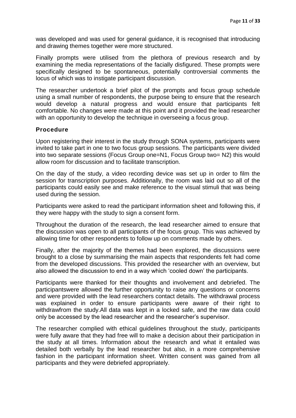was developed and was used for general guidance, it is recognised that introducing and drawing themes together were more structured.

Finally prompts were utilised from the plethora of previous research and by examining the media representations of the facially disfigured. These prompts were specifically designed to be spontaneous, potentially controversial comments the locus of which was to instigate participant discussion.

The researcher undertook a brief pilot of the prompts and focus group schedule using a small number of respondents, the purpose being to ensure that the research would develop a natural progress and would ensure that participants felt comfortable. No changes were made at this point and it provided the lead researcher with an opportunity to develop the technique in overseeing a focus group.

#### **Procedure**

Upon registering their interest in the study through SONA systems, participants were invited to take part in one to two focus group sessions. The participants were divided into two separate sessions (Focus Group one=N1, Focus Group two= N2) this would allow room for discussion and to facilitate transcription.

On the day of the study, a video recording device was set up in order to film the session for transcription purposes. Additionally, the room was laid out so all of the participants could easily see and make reference to the visual stimuli that was being used during the session.

Participants were asked to read the participant information sheet and following this, if they were happy with the study to sign a consent form.

Throughout the duration of the research, the lead researcher aimed to ensure that the discussion was open to all participants of the focus group. This was achieved by allowing time for other respondents to follow up on comments made by others.

Finally, after the majority of the themes had been explored, the discussions were brought to a close by summarising the main aspects that respondents felt had come from the developed discussions. This provided the researcher with an overview, but also allowed the discussion to end in a way which "cooled down" the participants.

Participants were thanked for their thoughts and involvement and debriefed. The participantswere allowed the further opportunity to raise any questions or concerns and were provided with the lead researchers contact details. The withdrawal process was explained in order to ensure participants were aware of their right to withdrawfrom the study.All data was kept in a locked safe, and the raw data could only be accessed by the lead researcher and the researcher"s supervisor.

The researcher complied with ethical guidelines throughout the study, participants were fully aware that they had free will to make a decision about their participation in the study at all times. Information about the research and what it entailed was detailed both verbally by the lead researcher but also, in a more comprehensive fashion in the participant information sheet. Written consent was gained from all participants and they were debriefed appropriately.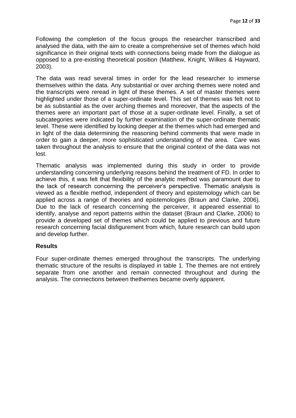Following the completion of the focus groups the researcher transcribed and analysed the data, with the aim to create a comprehensive set of themes which hold significance in their original texts with connections being made from the dialogue as opposed to a pre-existing theoretical position (Matthew, Knight, Wilkes & Hayward, 2003).

The data was read several times in order for the lead researcher to immerse themselves within the data. Any substantial or over arching themes were noted and the transcripts were reread in light of these themes. A set of master themes were highlighted under those of a super-ordinate level. This set of themes was felt not to be as substantial as the over arching themes and moreover, that the aspects of the themes were an important part of those at a super-ordinate level. Finally, a set of subcategories were indicated by further examination of the super-ordinate thematic level. These were identified by looking deeper at the themes which had emerged and in light of the data determining the reasoning behind comments that were made in order to gain a deeper, more sophisticated understanding of the area. Care was taken throughout the analysis to ensure that the original context of the data was not lost.

Thematic analysis was implemented during this study in order to provide understanding concerning underlying reasons behind the treatment of FD. In order to achieve this, it was felt that flexibility of the analytic method was paramount due to the lack of research concerning the perceiver"s perspective. Thematic analysis is viewed as a flexible method, independent of theory and epistemology which can be applied across a range of theories and epistemologies (Braun and Clarke, 2006). Due to the lack of research concerning the perceiver, it appeared essential to identify, analyse and report patterns within the dataset (Braun and Clarke, 2006) to provide a developed set of themes which could be applied to previous and future research concerning facial disfigurement from which, future research can build upon and develop further.

# **Results**

Four super-ordinate themes emerged throughout the transcripts. The underlying thematic structure of the results is displayed in table 1. The themes are not entirely separate from one another and remain connected throughout and during the analysis. The connections between thethemes became overly apparent.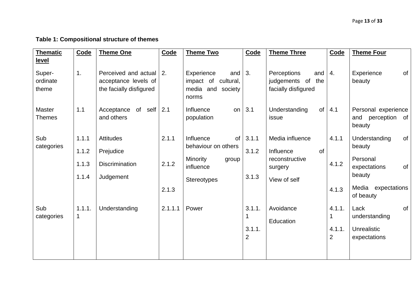# **Table 1: Compositional structure of themes**

| <b>Thematic</b> | Code   | <b>Theme One</b>        | Code    | <b>Theme Two</b>           | Code           | <b>Theme Three</b>   | Code           | <b>Theme Four</b>                 |
|-----------------|--------|-------------------------|---------|----------------------------|----------------|----------------------|----------------|-----------------------------------|
| <u>level</u>    |        |                         |         |                            |                |                      |                |                                   |
| Super-          | 1.     | Perceived and actual    | 2.      | Experience<br>and          | 3.             | Perceptions<br>and   | 4.             | of<br>Experience                  |
| ordinate        |        | acceptance levels of    |         | impact of<br>cultural,     |                | judgements of<br>the |                | beauty                            |
| theme           |        | the facially disfigured |         | media and society<br>norms |                | facially disfigured  |                |                                   |
| <b>Master</b>   | 1.1    | Acceptance<br>of self   | 2.1     | Influence<br>on            | 3.1            | Understanding<br>of  | 4.1            | Personal experience               |
| Themes          |        | and others              |         | population                 |                | issue                |                | perception<br>of<br>and<br>beauty |
| Sub             | 1.1.1  | <b>Attitudes</b>        | 2.1.1   | Influence<br><b>of</b>     | 3.1.1          | Media influence      | 4.1.1          | of<br>Understanding               |
| categories      | 1.1.2  | Prejudice               |         | behaviour on others        | 3.1.2          | Influence<br>of      |                | beauty                            |
|                 | 1.1.3  | <b>Discrimination</b>   | 2.1.2   | Minority<br>group          |                | reconstructive       | 4.1.2          | Personal                          |
|                 |        |                         |         | influence                  |                | surgery              |                | of<br>expectations                |
|                 | 1.1.4  | Judgement               |         | <b>Stereotypes</b>         | 3.1.3          | View of self         |                | beauty                            |
|                 |        |                         | 2.1.3   |                            |                |                      | 4.1.3          | Media expectations<br>of beauty   |
| Sub             | 1.1.1. | Understanding           | 2.1.1.1 | Power                      | 3.1.1.         | Avoidance            | 4.1.1.         | of<br>Lack                        |
| categories      | 1      |                         |         |                            |                | Education            | 1              | understanding                     |
|                 |        |                         |         |                            | 3.1.1.         |                      | 4.1.1.         | Unrealistic                       |
|                 |        |                         |         |                            | $\overline{2}$ |                      | $\overline{2}$ | expectations                      |
|                 |        |                         |         |                            |                |                      |                |                                   |
|                 |        |                         |         |                            |                |                      |                |                                   |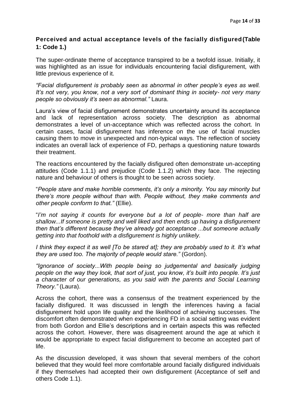# **Perceived and actual acceptance levels of the facially disfigured(Table 1: Code 1.)**

The super-ordinate theme of acceptance transpired to be a twofold issue. Initially, it was highlighted as an issue for individuals encountering facial disfigurement, with little previous experience of it.

*"Facial disfigurement is probably seen as abnormal in other people"s eyes as well. It"s not very, you know, not a very sort of dominant thing in society- not very many people so obviously it"s seen as abnormal."* Laura.

Laura"s view of facial disfigurement demonstrates uncertainty around its acceptance and lack of representation across society. The description as abnormal demonstrates a level of un-acceptance which was reflected across the cohort. In certain cases, facial disfigurement has inference on the use of facial muscles causing them to move in unexpected and non-typical ways. The reflection of society indicates an overall lack of experience of FD, perhaps a questioning nature towards their treatment.

The reactions encountered by the facially disfigured often demonstrate un-accepting attitudes (Code 1.1.1) and prejudice (Code 1.1.2) which they face. The rejecting nature and behaviour of others is thought to be seen across society.

"*People stare and make horrible comments, it"s only a minority. You say minority but there"s more people without than with. People without, they make comments and other people conform to that."* (Ellie).

"*I"m not saying it counts for everyone but a lot of people- more than half are shallow...If someone is pretty and well liked and then ends up having a disfigurement then that"s different because they"ve already got acceptance ...but someone actually getting into that foothold with a disfigurement is highly unlikely.*

*I think they expect it as well [To be stared at]; they are probably used to it. It"s what they are used too. The majority of people would stare."* (Gordon).

*"Ignorance of society...With people being so judgemental and basically judging people on the way they look, that sort of just, you know, it"s built into people. It"s just a character of our generations, as you said with the parents and Social Learning Theory."* (Laura).

Across the cohort, there was a consensus of the treatment experienced by the facially disfigured. It was discussed in length the inferences having a facial disfigurement hold upon life quality and the likelihood of achieving successes. The discomfort often demonstrated when experiencing FD in a social setting was evident from both Gordon and Ellie"s descriptions and in certain aspects this was reflected across the cohort. However, there was disagreement around the age at which it would be appropriate to expect facial disfigurement to become an accepted part of life.

As the discussion developed, it was shown that several members of the cohort believed that they would feel more comfortable around facially disfigured individuals if they themselves had accepted their own disfigurement (Acceptance of self and others Code 1.1).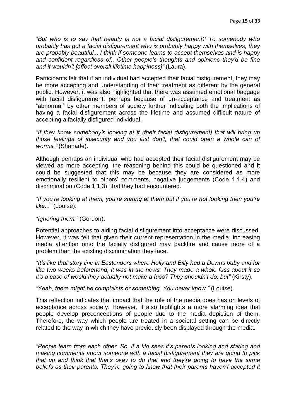*"But who is to say that beauty is not a facial disfigurement? To somebody who probably has got a facial disfigurement who is probably happy with themselves, they are probably beautiful....I think if someone learns to accept themselves and is happy and confident regardless of.. Other people"s thoughts and opinions they"d be fine and it wouldn"t [affect overall lifetime happiness]"* (Laura).

Participants felt that if an individual had accepted their facial disfigurement, they may be more accepting and understanding of their treatment as different by the general public. However, it was also highlighted that there was assumed emotional baggage with facial disfigurement, perhaps because of un-acceptance and treatment as "abnormal" by other members of society further indicating both the implications of having a facial disfigurement across the lifetime and assumed difficult nature of accepting a facially disfigured individual.

*"If they know somebody"s looking at it (their facial disfigurement) that will bring up those feelings of insecurity and you just don"t, that could open a whole can of worms."* (Shanade).

Although perhaps an individual who had accepted their facial disfigurement may be viewed as more accepting, the reasoning behind this could be questioned and it could be suggested that this may be because they are considered as more emotionally resilient to others' comments, negative judgements (Code 1.1.4) and discrimination (Code 1.1.3) that they had encountered.

*"If you"re looking at them, you"re staring at them but if you"re not looking then you"re like..."* (Louise).

*"Ignoring them."* (Gordon).

Potential approaches to aiding facial disfigurement into acceptance were discussed. However, it was felt that given their current representation in the media, increasing media attention onto the facially disfigured may backfire and cause more of a problem than the existing discrimination they face.

*"It"s like that story line in Eastenders where Holly and Billy had a Downs baby and for like two weeks beforehand, it was in the news. They made a whole fuss about it so it"s a case of would they actually not make a fuss? They shouldn"t do, but"* (Kirsty).

*"Yeah, there might be complaints or something. You never know."* (Louise).

This reflection indicates that impact that the role of the media does has on levels of acceptance across society. However, it also highlights a more alarming idea that people develop preconceptions of people due to the media depiction of them. Therefore, the way which people are treated in a societal setting can be directly related to the way in which they have previously been displayed through the media.

*"People learn from each other. So, if a kid sees it"s parents looking and staring and making comments about someone with a facial disfigurement they are going to pick that up and think that that"s okay to do that and they"re going to have the same beliefs as their parents. They"re going to know that their parents haven"t accepted it*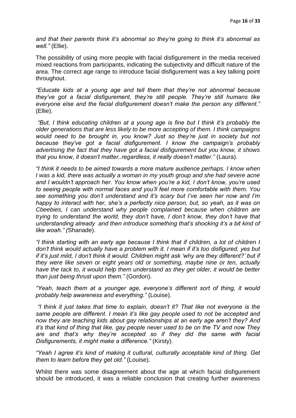*and that their parents think it"s abnormal so they"re going to think it"s abnormal as well."* (Ellie).

The possibility of using more people with facial disfigurement in the media received mixed reactions from participants, indicating the subjectivity and difficult nature of the area. The correct age range to introduce facial disfigurement was a key talking point throughout.

*"Educate kids at a young age and tell them that they"re not abnormal because they"ve got a facial disfigurement, they"re still people. They"re still humans like everyone else and the facial disfigurement doesn"t make the person any different."*  (Ellie).

*"But, I think educating children at a young age is fine but I think it"s probably the older generations that are less likely to be more accepting of them. I think campaigns would need to be brought in, you know? Just so they"re just in society but not because they"ve got a facial disfigurement. I know the campaign"s probably advertising the fact that they have got a facial disfigurement but you know, it shows that you know, it doesn"t matter..regardless, it really doesn"t matter."* (Laura).

*"I think it needs to be aimed towards a more mature audience perhaps. I know when I* was a kid, there was actually a woman in my youth group and she had severe acne *and I wouldn"t approach her. You know when you"re a kid, I don"t know, you"re used to seeing people with normal faces and you"ll feel more comfortable with them. You see something you don"t understand and it"s scary but I"ve seen her now and I"m happy to interact with her, she"s a perfectly nice person, but, so yeah, as it was on Cbeebies, I can understand why people complained because when children are trying to understand the world, they don"t have, I don"t know, they don"t have that understanding already and then introduce something that"s shocking it"s a bit kind of like woah." (*Shanade).

*"I think starting with an early age because I think that if children, a lot of children I don"t think would actually have a problem with it. I mean if it"s too disfigured, yes but if it"s just mild, I don"t think it would. Children might ask "why are they different?" but if they were like seven or eight years old or something, maybe nine or ten, actually have the tack to, it would help them understand as they get older, it would be better than just being thrust upon them."* (Gordon).

*"Yeah, teach them at a younger age, everyone"s different sort of thing, it would probably help awareness and everything."* (Louise).

*"I think it just takes that time to explain, doesn"t it? That like not everyone is the same people are different. I mean it"s like gay people used to not be accepted and now they are teaching kids about gay relationships at an early age aren"t they? And it"s that kind of thing that like, gay people never used to be on the TV and now They are and that"s why they"re accepted so if they did the same with facial Disfigurements, it might make a difference."* (Kirsty).

*"Yeah I agree it"s kind of making it cultural, culturally acceptable kind of thing. Get them to learn before they get old."* (Louise).

Whilst there was some disagreement about the age at which facial disfigurement should be introduced, it was a reliable conclusion that creating further awareness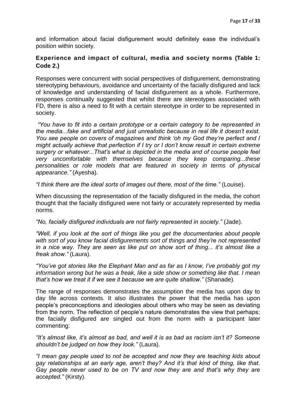and information about facial disfigurement would definitely ease the individual"s position within society.

# **Experience and impact of cultural, media and society norms (Table 1: Code 2.)**

Responses were concurrent with social perspectives of disfigurement, demonstrating stereotyping behaviours, avoidance and uncertainty of the facially disfigured and lack of knowledge and understanding of facial disfigurement as a whole. Furthermore, responses continually suggested that whilst there are stereotypes associated with FD, there is also a need to fit with a certain stereotype in order to be represented in society.

*"You have to fit into a certain prototype or a certain category to be represented in the media...fake and artificial and just unrealistic because in real life it doesn"t exist. You see people on covers of magazines and think "oh my God they"re perfect and I might actually achieve that perfection if I try or I don"t know result in certain extreme surgery or whatever...That"s what is depicted in the media and of course people feel very uncomfortable with themselves because they keep comparing...these personalities or role models that are featured in society in terms of physical appearance."* (Ayesha).

*"I think there are the ideal sorts of images out there, most of the time."* (Louise).

When discussing the representation of the facially disfigured in the media, the cohort thought that the facially disfigured were not fairly or accurately represented by media norms.

*"No, facially disfigured individuals are not fairly represented in society."* (Jade).

*"Well, if you look at the sort of things like you get the documentaries about people with sort of you know facial disfigurements sort of things and they"re not represented in a nice way. They are seen as like put on show sort of thing... it"s almost like a freak show."* (Laura).

*"You"ve got stories like the Elephant Man and as far as I know, I"ve probably got my information wrong but he was a freak, like a side show or something like that. I mean that"s how we treat it if we see it because we are quite shallow."* (Shanade).

The range of responses demonstrates the assumption the media has upon day to day life across contexts. It also illustrates the power that the media has upon people"s preconceptions and ideologies about others who may be seen as deviating from the norm. The reflection of people"s nature demonstrates the view that perhaps; the facially disfigured are singled out from the norm with a participant later commenting:

*"It"s almost like, it"s almost as bad, and well it is as bad as racism isn"t it? Someone shouldn"t be judged on how they look."* (Laura).

*"I mean gay people used to not be accepted and now they are teaching kids about gay relationships at an early age, aren"t they? And it"s that kind of thing, like that. Gay people never used to be on TV and now they are and that"s why they are accepted."* (Kirsty).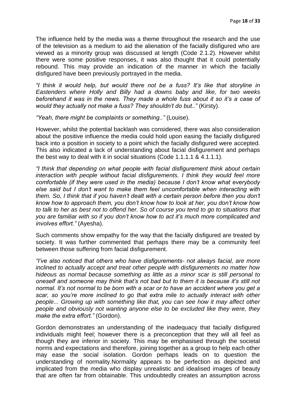The influence held by the media was a theme throughout the research and the use of the television as a medium to aid the alienation of the facially disfigured who are viewed as a minority group was discussed at length (Code 2.1.2). However whilst there were some positive responses, it was also thought that it could potentially rebound. This may provide an indication of the manner in which the facially disfigured have been previously portrayed in the media.

*"I think it would help, but would there not be a fuss? It"s like that storyline in Eastenders where Holly and Billy had a downs baby and like, for two weeks beforehand it was in the news. They made a whole fuss about it so it"s a case of would they actually not make a fuss? They shouldn"t do but.."* (Kirsty).

*"Yeah, there might be complaints or something.."* (Louise).

However, whilst the potential backlash was considered, there was also consideration about the positive influence the media could hold upon easing the facially disfigured back into a position in society to a point which the facially disfigured were accepted. This also indicated a lack of understanding about facial disfigurement and perhaps the best way to deal with it in social situations (Code 1.1.1.1 & 4.1.1.1).

*"I think that depending on what people with facial disfigurement think about certain interaction with people without facial disfigurements. I think they would feel more comfortable (if they were used in the media) because I don"t know what everybody else said but I don"t want to make them feel uncomfortable when interacting with them. So, I think that if you haven"t dealt with a certain person before then you don"t know how to approach them, you don"t know how to look at her, you don"t know how to talk to her as best not to offend her. So of course you tend to go to situations that you are familiar with so if you don"t know how to act it"s much more complicated and involves effort."* (Ayesha).

Such comments show empathy for the way that the facially disfigured are treated by society. It was further commented that perhaps there may be a community feel between those suffering from facial disfigurement.

*"I"ve also noticed that others who have disfigurements- not always facial, are more inclined to actually accept and treat other people with disfigurements no matter how hideous as normal because something as little as a minor scar is still personal to oneself and someone may think that"s not bad but to them it is because it"s still not normal. It"s not normal to be born with a scar or to have an accident where you get a scar, so you"re more inclined to go that extra mile to actually interact with other people... Growing up with something like that, you can see how it may affect other people and obviously not wanting anyone else to be excluded like they were, they make the extra effort."* (Gordon).

Gordon demonstrates an understanding of the inadequacy that facially disfigured individuals might feel; however there is a preconception that they will all feel as though they are inferior in society. This may be emphasised through the societal norms and expectations and therefore, joining together as a group to help each other may ease the social isolation. Gordon perhaps leads on to question the understanding of normality.Normality appears to be perfection as depicted and implicated from the media who display unrealistic and idealised images of beauty that are often far from obtainable. This undoubtedly creates an assumption across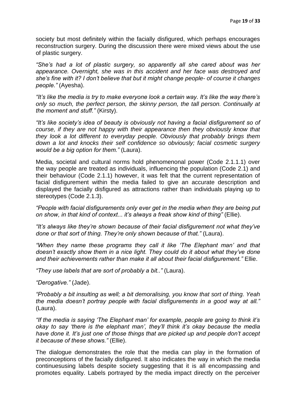society but most definitely within the facially disfigured, which perhaps encourages reconstruction surgery. During the discussion there were mixed views about the use of plastic surgery.

*"She"s had a lot of plastic surgery, so apparently all she cared about was her appearance. Overnight, she was in this accident and her face was destroyed and she"s fine with it? I don"t believe that but it might change people- of course it changes people."* (Ayesha).

*"It"s like the media is try to make everyone look a certain way. It"s like the way there"s only so much, the perfect person, the skinny person, the tall person. Continually at the moment and stuff."* (Kirsty).

*"It"s like society"s idea of beauty is obviously not having a facial disfigurement so of course, if they are not happy with their appearance then they obviously know that they look a lot different to everyday people. Obviously that probably brings them down a lot and knocks their self confidence so obviously; facial cosmetic surgery would be a big option for them."* (Laura).

Media, societal and cultural norms hold phenomenonal power (Code 2.1.1.1) over the way people are treated as individuals, influencing the population (Code 2.1) and their behaviour (Code 2.1.1) however, it was felt that the current representation of facial disfigurement within the media failed to give an accurate description and displayed the facially disfigured as attractions rather than individuals playing up to stereotypes (Code 2.1.3).

*"People with facial disfigurements only ever get in the media when they are being put on show, in that kind of context... it"s always a freak show kind of thing"* (Ellie).

*"It"s always like they"re shown because of their facial disfigurement not what they"ve done or that sort of thing. They"re only shown because of that."* (Laura).

*"When they name these programs they call it like "The Elephant man" and that doesn"t exactly show them in a nice light. They could do it about what they"ve done and their achievements rather than make it all about their facial disfigurement."* Ellie.

*"They use labels that are sort of probably a bit.."* (Laura).

*"Derogative."* (Jade).

*"Probably a bit insulting as well; a bit demoralising, you know that sort of thing. Yeah the media doesn"t portray people with facial disfigurements in a good way at all."* (Laura).

*"If the media is saying "The Elephant man" for example, people are going to think it"s okay to say "there is the elephant man", they"ll think it"s okay because the media have done it. It"s just one of those things that are picked up and people don"t accept it because of these shows."* (Ellie).

The dialogue demonstrates the role that the media can play in the formation of preconceptions of the facially disfigured. It also indicates the way in which the media continuesusing labels despite society suggesting that it is all encompassing and promotes equality. Labels portrayed by the media impact directly on the perceiver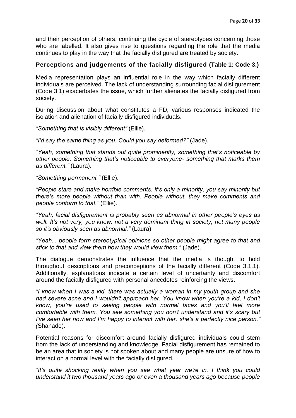and their perception of others, continuing the cycle of stereotypes concerning those who are labelled. It also gives rise to questions regarding the role that the media continues to play in the way that the facially disfigured are treated by society.

# **Perceptions and judgements of the facially disfigured (Table 1: Code 3.)**

Media representation plays an influential role in the way which facially different individuals are perceived. The lack of understanding surrounding facial disfigurement (Code 3.1) exacerbates the issue, which further alienates the facially disfigured from society.

During discussion about what constitutes a FD, various responses indicated the isolation and alienation of facially disfigured individuals.

*"Something that is visibly different"* (Ellie).

*"I"d say the same thing as you. Could you say deformed?"* (Jade).

*"Yeah, something that stands out quite prominently, something that"s noticeable by other people. Something that"s noticeable to everyone- something that marks them as different."* (Laura).

*"Something permanent."* (Ellie).

*"People stare and make horrible comments. It"s only a minority, you say minority but there"s more people without than with. People without, they make comments and people conform to that."* (Ellie).

*"Yeah, facial disfigurement is probably seen as abnormal in other people"s eyes as well. It"s not very, you know, not a very dominant thing in society, not many people so it"s obviously seen as abnormal."* (Laura).

*"Yeah... people form stereotypical opinions so other people might agree to that and stick to that and view them how they would view them."* (Jade).

The dialogue demonstrates the influence that the media is thought to hold throughout descriptions and preconceptions of the facially different (Code 3.1.1). Additionally, explanations indicate a certain level of uncertainty and discomfort around the facially disfigured with personal anecdotes reinforcing the views.

*"I know when I was a kid, there was actually a woman in my youth group and she had severe acne and I wouldn"t approach her. You know when you"re a kid, I don"t know, you"re used to seeing people with normal faces and you"ll feel more comfortable with them. You see something you don"t understand and it"s scary but I"ve seen her now and I"m happy to interact with her, she"s a perfectly nice person." (*Shanade).

Potential reasons for discomfort around facially disfigured individuals could stem from the lack of understanding and knowledge. Facial disfigurement has remained to be an area that in society is not spoken about and many people are unsure of how to interact on a normal level with the facially disfigured.

*"It"s quite shocking really when you see what year we"re in, I think you could understand it two thousand years ago or even a thousand years ago because people*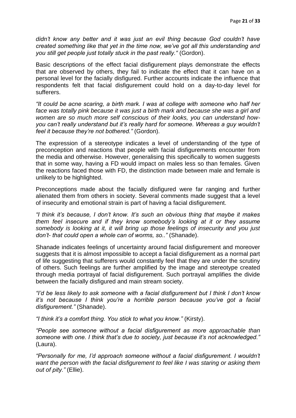*didn"t know any better and it was just an evil thing because God couldn"t have created something like that yet in the time now, we"ve got all this understanding and you still get people just totally stuck in the past really."* (Gordon).

Basic descriptions of the effect facial disfigurement plays demonstrate the effects that are observed by others, they fail to indicate the effect that it can have on a personal level for the facially disfigured. Further accounts indicate the influence that respondents felt that facial disfigurement could hold on a day-to-day level for sufferers.

*"It could be acne scaring, a birth mark. I was at college with someone who half her face was totally pink because it was just a birth mark and because she was a girl and women are so much more self conscious of their looks, you can understand howyou can"t really understand but it"s really hard for someone. Whereas a guy wouldn"t feel it because they"re not bothered."* (Gordon).

The expression of a stereotype indicates a level of understanding of the type of preconception and reactions that people with facial disfigurements encounter from the media and otherwise. However, generalising this specifically to women suggests that in some way, having a FD would impact on males less so than females. Given the reactions faced those with FD, the distinction made between male and female is unlikely to be highlighted.

Preconceptions made about the facially disfigured were far ranging and further alienated them from others in society. Several comments made suggest that a level of insecurity and emotional strain is part of having a facial disfigurement.

*"I think it"s because, I don"t know. It"s such an obvious thing that maybe it makes them feel insecure and if they know somebody"s looking at it or they assume somebody is looking at it, it will bring up those feelings of insecurity and you just don"t- that could open a whole can of worms, so.."* (Shanade).

Shanade indicates feelings of uncertainty around facial disfigurement and moreover suggests that it is almost impossible to accept a facial disfigurement as a normal part of life suggesting that sufferers would constantly feel that they are under the scrutiny of others. Such feelings are further amplified by the image and stereotype created through media portrayal of facial disfigurement. Such portrayal amplifies the divide between the facially disfigured and main stream society.

*"I"d be less likely to ask someone with a facial disfigurement but I think I don"t know it"s not because I think you"re a horrible person because you"ve got a facial disfigurement."* (Shanade).

*"I think it"s a comfort thing. You stick to what you know."* (Kirsty).

*"People see someone without a facial disfigurement as more approachable than someone with one. I think that"s due to society, just because it"s not acknowledged."* (Laura).

*"Personally for me, I"d approach someone without a facial disfigurement. I wouldn"t want the person with the facial disfigurement to feel like I was staring or asking them out of pity."* (Ellie).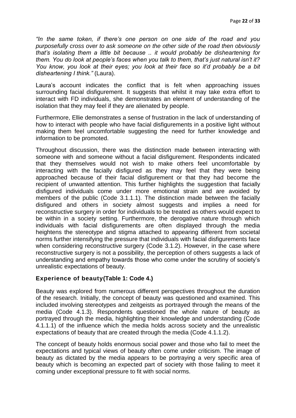*"In the same token, if there"s one person on one side of the road and you purposefully cross over to ask someone on the other side of the road then obviously that"s isolating them a little bit because .. it would probably be disheartening for them. You do look at people"s faces when you talk to them, that"s just natural isn"t it? You know, you look at their eyes; you look at their face so it"d probably be a bit disheartening I think."* (Laura).

Laura's account indicates the conflict that is felt when approaching issues surrounding facial disfigurement. It suggests that whilst it may take extra effort to interact with FD individuals, she demonstrates an element of understanding of the isolation that they may feel if they are alienated by people.

Furthermore, Ellie demonstrates a sense of frustration in the lack of understanding of how to interact with people who have facial disfigurements in a positive light without making them feel uncomfortable suggesting the need for further knowledge and information to be promoted.

Throughout discussion, there was the distinction made between interacting with someone with and someone without a facial disfigurement. Respondents indicated that they themselves would not wish to make others feel uncomfortable by interacting with the facially disfigured as they may feel that they were being approached because of their facial disfigurement or that they had become the recipient of unwanted attention. This further highlights the suggestion that facially disfigured individuals come under more emotional strain and are avoided by members of the public (Code 3.1.1.1). The distinction made between the facially disfigured and others in society almost suggests and implies a need for reconstructive surgery in order for individuals to be treated as others would expect to be within in a society setting. Furthermore, the derogative nature through which individuals with facial disfigurements are often displayed through the media heightens the stereotype and stigma attached to appearing different from societal norms further intensifying the pressure that individuals with facial disfigurements face when considering reconstructive surgery (Code 3.1.2). However, in the case where reconstructive surgery is not a possibility, the perception of others suggests a lack of understanding and empathy towards those who come under the scrutiny of society"s unrealistic expectations of beauty.

# **Experience of beauty(Table 1: Code 4.)**

Beauty was explored from numerous different perspectives throughout the duration of the research. Initially, the concept of beauty was questioned and examined. This included involving stereotypes and zeitgeists as portrayed through the means of the media (Code 4.1.3). Respondents questioned the whole nature of beauty as portrayed through the media, highlighting their knowledge and understanding (Code 4.1.1.1) of the influence which the media holds across society and the unrealistic expectations of beauty that are created through the media (Code 4.1.1.2).

The concept of beauty holds enormous social power and those who fail to meet the expectations and typical views of beauty often come under criticism. The image of beauty as dictated by the media appears to be portraying a very specific area of beauty which is becoming an expected part of society with those failing to meet it coming under exceptional pressure to fit with social norms.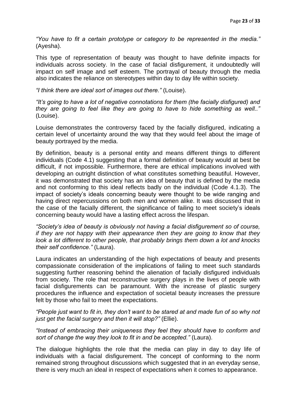*"You have to fit a certain prototype or category to be represented in the media."*  (Ayesha).

This type of representation of beauty was thought to have definite impacts for individuals across society. In the case of facial disfigurement, it undoubtedly will impact on self image and self esteem. The portrayal of beauty through the media also indicates the reliance on stereotypes within day to day life within society.

*"I think there are ideal sort of images out there."* (Louise).

*"It"s going to have a lot of negative connotations for them (the facially disfigured) and they are going to feel like they are going to have to hide something as well.."* (Louise).

Louise demonstrates the controversy faced by the facially disfigured, indicating a certain level of uncertainty around the way that they would feel about the image of beauty portrayed by the media.

By definition, beauty is a personal entity and means different things to different individuals (Code 4.1) suggesting that a formal definition of beauty would at best be difficult, if not impossible. Furthermore, there are ethical implications involved with developing an outright distinction of what constitutes something beautiful. However, it was demonstrated that society has an idea of beauty that is defined by the media and not conforming to this ideal reflects badly on the individual (Code 4.1.3). The impact of society"s ideals concerning beauty were thought to be wide ranging and having direct repercussions on both men and women alike. It was discussed that in the case of the facially different, the significance of failing to meet society"s ideals concerning beauty would have a lasting effect across the lifespan.

*"Society"s idea of beauty is obviously not having a facial disfigurement so of course, if they are not happy with their appearance then they are going to know that they look a lot different to other people, that probably brings them down a lot and knocks their self confidence."* (Laura).

Laura indicates an understanding of the high expectations of beauty and presents compassionate consideration of the implications of failing to meet such standards suggesting further reasoning behind the alienation of facially disfigured individuals from society. The role that reconstructive surgery plays in the lives of people with facial disfigurements can be paramount. With the increase of plastic surgery procedures the influence and expectation of societal beauty increases the pressure felt by those who fail to meet the expectations.

*"People just want to fit in, they don"t want to be stared at and made fun of so why not just get the facial surgery and then it will stop?"* (Ellie).

*"Instead of embracing their uniqueness they feel they should have to conform and sort of change the way they look to fit in and be accepted."* (Laura).

The dialogue highlights the role that the media can play in day to day life of individuals with a facial disfigurement. The concept of conforming to the norm remained strong throughout discussions which suggested that in an everyday sense, there is very much an ideal in respect of expectations when it comes to appearance.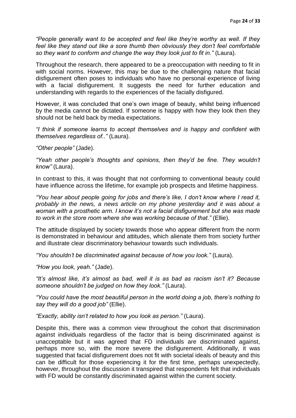*"People generally want to be accepted and feel like they"re worthy as well. If they feel like they stand out like a sore thumb then obviously they don"t feel comfortable so they want to conform and change the way they look just to fit in."* (Laura).

Throughout the research, there appeared to be a preoccupation with needing to fit in with social norms. However, this may be due to the challenging nature that facial disfigurement often poses to individuals who have no personal experience of living with a facial disfigurement. It suggests the need for further education and understanding with regards to the experiences of the facially disfigured.

However, it was concluded that one"s own image of beauty, whilst being influenced by the media cannot be dictated. If someone is happy with how they look then they should not be held back by media expectations.

*"I think if someone learns to accept themselves and is happy and confident with themselves regardless of.."* (Laura).

*"Other people"* (Jade).

*"Yeah other people"s thoughts and opinions, then they"d be fine. They wouldn"t know"* (Laura).

In contrast to this, it was thought that not conforming to conventional beauty could have influence across the lifetime, for example job prospects and lifetime happiness.

*"You hear about people going for jobs and there"s like, I don"t know where I read it, probably in the news, a news article on my phone yesterday and it was about a woman with a prosthetic arm. I know it"s not a facial disfigurement but she was made to work in the store room where she was working because of that."* (Ellie).

The attitude displayed by society towards those who appear different from the norm is demonstrated in behaviour and attitudes, which alienate them from society further and illustrate clear discriminatory behaviour towards such individuals.

*"You shouldn"t be discriminated against because of how you look."* (Laura).

*"How you look, yeah."* (Jade).

*"It"s almost like, it"s almost as bad, well it is as bad as racism isn"t it? Because someone shouldn"t be judged on how they look."* (Laura).

*"You could have the most beautiful person in the world doing a job, there"s nothing to say they will do a good job"* (Ellie).

*"Exactly, ability isn"t related to how you look as person."* (Laura).

Despite this, there was a common view throughout the cohort that discrimination against individuals regardless of the factor that is being discriminated against is unacceptable but it was agreed that FD individuals are discriminated against, perhaps more so, with the more severe the disfigurement. Additionally, it was suggested that facial disfigurement does not fit with societal ideals of beauty and this can be difficult for those experiencing it for the first time, perhaps unexpectedly, however, throughout the discussion it transpired that respondents felt that individuals with FD would be constantly discriminated against within the current society.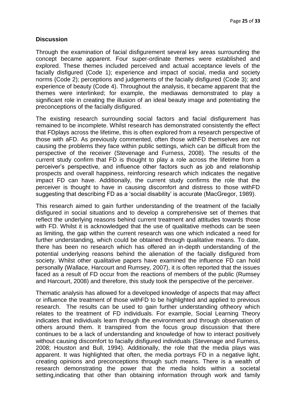# **Discussion**

Through the examination of facial disfigurement several key areas surrounding the concept became apparent. Four super-ordinate themes were established and explored. These themes included perceived and actual acceptance levels of the facially disfigured (Code 1); experience and impact of social, media and society norms (Code 2); perceptions and judgements of the facially disfigured (Code 3); and experience of beauty (Code 4). Throughout the analysis, it became apparent that the themes were interlinked; for example, the mediawas demonstrated to play a significant role in creating the illusion of an ideal beauty image and potentiating the preconceptions of the facially disfigured.

The existing research surrounding social factors and facial disfigurement has remained to be incomplete. Whilst research has demonstrated consistently the effect that FDplays across the lifetime, this is often explored from a research perspective of those with aFD. As previously commented, often those withFD themselves are not causing the problems they face within public settings, which can be difficult from the perspective of the receiver (Stevenage and Furness, 2008). The results of the current study confirm that FD is thought to play a role across the lifetime from a perceiver"s perspective, and influence other factors such as job and relationship prospects and overall happiness, reinforcing research which indicates the negative impact FD can have. Additionally, the current study confirms the role that the perceiver is thought to have in causing discomfort and distress to those withFD suggesting that describing FD as a "social disability" is accurate (MacGregor, 1989).

This research aimed to gain further understanding of the treatment of the facially disfigured in social situations and to develop a comprehensive set of themes that reflect the underlying reasons behind current treatment and attitudes towards those with FD. Whilst it is acknowledged that the use of qualitative methods can be seen as limiting, the gap within the current research was one which indicated a need for further understanding, which could be obtained through qualitative means. To date, there has been no research which has offered an in-depth understanding of the potential underlying reasons behind the alienation of the facially disfigured from society. Whilst other qualitative papers have examined the influence FD can hold personally (Wallace, Harcourt and Rumsey, 2007), it is often reported that the issues faced as a result of FD occur from the reactions of members of the public (Rumsey and Harcourt, 2008) and therefore, this study took the perspective of the perceiver.

Thematic analysis has allowed for a developed knowledge of aspects that may affect or influence the treatment of those withFD to be highlighted and applied to previous research. The results can be used to gain further understanding oftheory which relates to the treatment of FD individuals. For example, Social Learning Theory indicates that individuals learn through the environment and through observation of others around them. It transpired from the focus group discussion that there continues to be a lack of understanding and knowledge of how to interact positively without causing discomfort to facially disfigured individuals (Stevenage and Furness, 2008; Houston and Bull, 1994). Additionally, the role that the media plays was apparent. It was highlighted that often, the media portrays FD in a negative light, creating opinions and preconceptions through such means. There is a wealth of research demonstrating the power that the media holds within a societal setting,indicating that other than obtaining information through work and family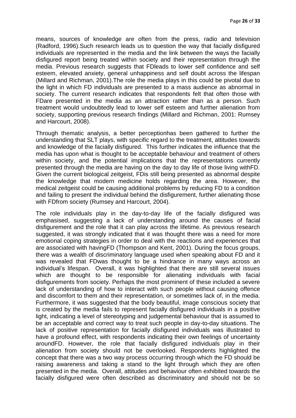means, sources of knowledge are often from the press, radio and television (Radford, 1996).Such research leads us to question the way that facially disfigured individuals are represented in the media and the link between the ways the facially disfigured report being treated within society and their representation through the media. Previous research suggests that FDleads to lower self confidence and self esteem, elevated anxiety, general unhappiness and self doubt across the lifespan (Millard and Richman, 2001).The role the media plays in this could be pivotal due to the light in which FD individuals are presented to a mass audience as abnormal in society. The current research indicates that respondents felt that often those with FDare presented in the media as an attraction rather than as a person. Such treatment would undoubtedly lead to lower self esteem and further alienation from society, supporting previous research findings (Millard and Richman, 2001: Rumsey and Harcourt, 2008).

Through thematic analysis, a better perceptionhas been gathered to further the understanding that SLT plays, with specific regard to the treatment, attitudes towards and knowledge of the facially disfigured. This further indicates the influence that the media has upon what is thought to be acceptable behaviour and treatment of others within society, and the potential implications that the representations currently presented through the media are having on the day to day life of those living withFD. Given the current biological zeitgeist, FDis still being presented as abnormal despite the knowledge that modern medicine holds regarding the area. However, the medical zeitgeist could be causing additional problems by reducing FD to a condition and failing to present the individual behind the disfigurement, further alienating those with FDfrom society (Rumsey and Harcourt, 2004).

The role individuals play in the day-to-day life of the facially disfigured was emphasised, suggesting a lack of understanding around the causes of facial disfigurement and the role that it can play across the lifetime. As previous research suggested, it was strongly indicated that it was thought there was a need for more emotional coping strategies in order to deal with the reactions and experiences that are associated with havingFD (Thompson and Kent, 2001). During the focus groups, there was a wealth of discriminatory language used when speaking about FD and it was revealed that FDwas thought to be a hindrance in many ways across an individual"s lifespan. Overall, it was highlighted that there are still several issues which are thought to be responsible for alienating individuals with facial disfigurements from society. Perhaps the most prominent of these included a severe lack of understanding of how to interact with such people without causing offence and discomfort to them and their representation, or sometimes lack of, in the media. Furthermore, it was suggested that the body beautiful, image conscious society that is created by the media fails to represent facially disfigured individuals in a positive light, indicating a level of stereotyping and judgemental behaviour that is assumed to be an acceptable and correct way to treat such people in day-to-day situations. The lack of positive representation for facially disfigured individuals was illustrated to have a profound effect, with respondents indicating their own feelings of uncertainty aroundFD. However, the role that facially disfigured individuals play in their alienation from society should not be overlooked. Respondents highlighted the concept that there was a two way process occurring through which the FD should be raising awareness and taking a stand to the light through which they are often presented in the media. Overall, attitudes and behaviour often exhibited towards the facially disfigured were often described as discriminatory and should not be so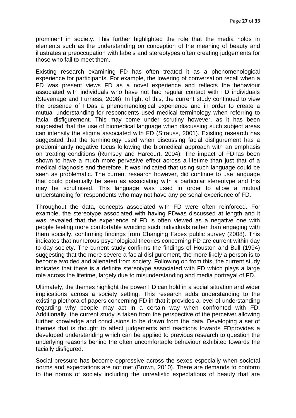prominent in society. This further highlighted the role that the media holds in elements such as the understanding on conception of the meaning of beauty and illustrates a preoccupation with labels and stereotypes often creating judgements for those who fail to meet them.

Existing research examining FD has often treated it as a phenomenological experience for participants. For example, the lowering of conversation recall when a FD was present views FD as a novel experience and reflects the behaviour associated with individuals who have not had regular contact with FD individuals (Stevenage and Furness, 2008). In light of this, the current study continued to view the presence of FDas a phenomenological experience and in order to create a mutual understanding for respondents used medical terminology when referring to facial disfigurement. This may come under scrutiny however, as it has been suggested that the use of biomedical language when discussing such subject areas can intensify the stigma associated with FD (Strauss, 2001). Existing research has suggested that the terminology used when discussing facial disfigurement has a predominantly negative focus following the biomedical approach with an emphasis on treating conditions (Rumsey and Harcourt, 2004). The impact of FDhas been shown to have a much more pervasive effect across a lifetime than just that of a medical diagnosis and therefore, it was indicated that using such language could be seen as problematic. The current research however, did continue to use language that could potentially be seen as associating with a particular stereotype and this may be scrutinised. This language was used in order to allow a mutual understanding for respondents who may not have any personal experience of FD.

Throughout the data, concepts associated with FD were often reinforced. For example, the stereotype associated with having FDwas discussed at length and it was revealed that the experience of FD is often viewed as a negative one with people feeling more comfortable avoiding such individuals rather than engaging with them socially, confirming findings from Changing Faces public survey (2008). This indicates that numerous psychological theories concerning FD are current within day to day society. The current study confirms the findings of Houston and Bull (1994) suggesting that the more severe a facial disfigurement, the more likely a person is to become avoided and alienated from society. Following on from this, the current study indicates that there is a definite stereotype associated with FD which plays a large role across the lifetime, largely due to misunderstanding and media portrayal of FD.

Ultimately, the themes highlight the power FD can hold in a social situation and wider implications across a society setting. This research adds understanding to the existing plethora of papers concerning FD in that it provides a level of understanding regarding why people may act in a certain way when confronted with FD. Additionally, the current study is taken from the perspective of the perceiver allowing further knowledge and conclusions to be drawn from the data. Developing a set of themes that is thought to affect judgements and reactions towards FDprovides a developed understanding which can be applied to previous research to question the underlying reasons behind the often uncomfortable behaviour exhibited towards the facially disfigured.

Social pressure has become oppressive across the sexes especially when societal norms and expectations are not met (Brown, 2010). There are demands to conform to the norms of society including the unrealistic expectations of beauty that are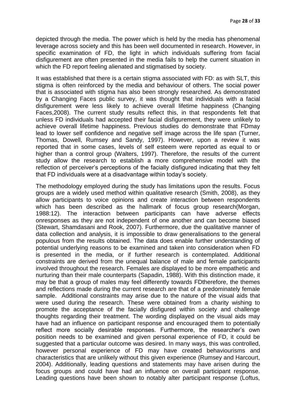depicted through the media. The power which is held by the media has phenomenal leverage across society and this has been well documented in research. However, in specific examination of FD, the light in which individuals suffering from facial disfigurement are often presented in the media fails to help the current situation in which the FD report feeling alienated and stigmatised by society.

It was established that there is a certain stigma associated with FD: as with SLT, this stigma is often reinforced by the media and behaviour of others. The social power that is associated with stigma has also been strongly researched. As demonstrated by a Changing Faces public survey, it was thought that individuals with a facial disfigurement were less likely to achieve overall lifetime happiness (Changing Faces,2008). The current study results reflect this, in that respondents felt that unless FD individuals had accepted their facial disfigurement, they were unlikely to achieve overall lifetime happiness. Previous studies do demonstrate that FDmay lead to lower self confidence and negative self image across the life span (Turner, Thomas, Dowell, Rumsey and Sandy, 1997). However, upon a review it was reported that in some cases, levels of self esteem were reported as equal to or higher than a control group (Walters, 1997). Therefore, the results of the current study allow the research to establish a more comprehensive model with the reflection of perceiver"s perceptions of the facially disfigured indicating that they felt that FD individuals were at a disadvantage within today"s society.

The methodology employed during the study has limitations upon the results. Focus groups are a widely used method within qualitative research (Smith, 2008), as they allow participants to voice opinions and create interaction between respondents which has been described as the hallmark of focus group research(Morgan, 1988:12). The interaction between participants can have adverse effects onresponses as they are not independent of one another and can become biased (Stewart, Shamdasani and Rook, 2007). Furthermore, due the qualitative manner of data collection and analysis, it is impossible to draw generalisations to the general populous from the results obtained. The data does enable further understanding of potential underlying reasons to be examined and taken into consideration when FD is presented in the media, or if further research is contemplated. Additional constraints are derived from the unequal balance of male and female participants involved throughout the research. Females are displayed to be more empathetic and nurturing than their male counterparts (Sapadin, 1988). With this distinction made, it may be that a group of males may feel differently towards FDtherefore, the themes and reflections made during the current research are that of a predominately female sample. Additional constraints may arise due to the nature of the visual aids that were used during the research. These were obtained from a charity wishing to promote the acceptance of the facially disfigured within society and challenge thoughts regarding their treatment. The wording displayed on the visual aids may have had an influence on participant response and encouraged them to potentially reflect more socially desirable responses. Furthermore, the researcher"s own position needs to be examined and given personal experience of FD, it could be suggested that a particular outcome was desired. In many ways, this was controlled, however personal experience of FD may have created behaviourisms and characteristics that are unlikely without this given experience (Rumsey and Harcourt, 2004). Additionally, leading questions and statements may have arisen during the focus groups and could have had an influence on overall participant response. Leading questions have been shown to notably alter participant response (Loftus,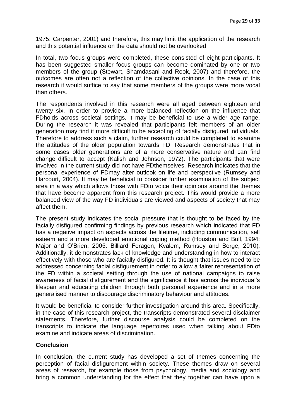1975: Carpenter, 2001) and therefore, this may limit the application of the research and this potential influence on the data should not be overlooked.

In total, two focus groups were completed, these consisted of eight participants. It has been suggested smaller focus groups can become dominated by one or two members of the group (Stewart, Shamdasani and Rook, 2007) and therefore, the outcomes are often not a reflection of the collective opinions. In the case of this research it would suffice to say that some members of the groups were more vocal than others.

The respondents involved in this research were all aged between eighteen and twenty six. In order to provide a more balanced reflection on the influence that FDholds across societal settings, it may be beneficial to use a wider age range. During the research it was revealed that participants felt members of an older generation may find it more difficult to be accepting of facially disfigured individuals. Therefore to address such a claim, further research could be completed to examine the attitudes of the older population towards FD. Research demonstrates that in some cases older generations are of a more conservative nature and can find change difficult to accept (Kalish and Johnson, 1972). The participants that were involved in the current study did not have FDthemselves. Research indicates that the personal experience of FDmay alter outlook on life and perspective (Rumsey and Harcourt, 2004). It may be beneficial to consider further examination of the subject area in a way which allows those with FDto voice their opinions around the themes that have become apparent from this research project. This would provide a more balanced view of the way FD individuals are viewed and aspects of society that may affect them.

The present study indicates the social pressure that is thought to be faced by the facially disfigured confirming findings by previous research which indicated that FD has a negative impact on aspects across the lifetime, including communication, self esteem and a more developed emotional coping method (Houston and Bull, 1994: Major and O"Brien, 2005: Billiard Feragen, Kvalem, Rumsey and Borge, 2010). Additionally, it demonstrates lack of knowledge and understanding in how to interact effectively with those who are facially disfigured. It is thought that issues need to be addressed concerning facial disfigurement in order to allow a fairer representation of the FD within a societal setting through the use of national campaigns to raise awareness of facial disfigurement and the significance it has across the individual"s lifespan and educating children through both personal experience and in a more generalised manner to discourage discriminatory behaviour and attitudes.

It would be beneficial to consider further investigation around this area. Specifically, in the case of this research project, the transcripts demonstrated several disclaimer statements. Therefore, further discourse analysis could be completed on the transcripts to indicate the language repertoires used when talking about FDto examine and indicate areas of discrimination.

# **Conclusion**

In conclusion, the current study has developed a set of themes concerning the perception of facial disfigurement within society. These themes draw on several areas of research, for example those from psychology, media and sociology and bring a common understanding for the effect that they together can have upon a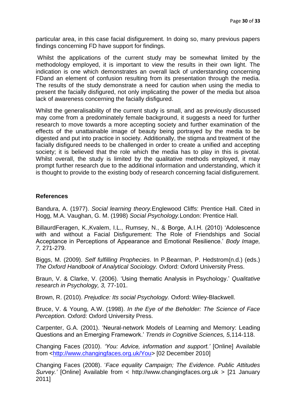particular area, in this case facial disfigurement. In doing so, many previous papers findings concerning FD have support for findings.

Whilst the applications of the current study may be somewhat limited by the methodology employed, it is important to view the results in their own light. The indication is one which demonstrates an overall lack of understanding concerning FDand an element of confusion resulting from its presentation through the media. The results of the study demonstrate a need for caution when using the media to present the facially disfigured, not only implicating the power of the media but alsoa lack of awareness concerning the facially disfigured.

Whilst the generalisability of the current study is small, and as previously discussed may come from a predominately female background, it suggests a need for further research to move towards a more accepting society and further examination of the effects of the unattainable image of beauty being portrayed by the media to be digested and put into practice in society. Additionally, the stigma and treatment of the facially disfigured needs to be challenged in order to create a unified and accepting society; it is believed that the role which the media has to play in this is pivotal. Whilst overall, the study is limited by the qualitative methods employed, it may prompt further research due to the additional information and understanding, which it is thought to provide to the existing body of research concerning facial disfigurement.

#### **References**

Bandura, A. (1977). *Social learning theory.*Englewood Cliffs: Prentice Hall. Cited in Hogg, M.A. Vaughan, G. M. (1998) *Social Psychology.*London: Prentice Hall.

BillaurdFeragen, K.,Kvalem, I.L., Rumsey, N., & Borge, A.I.H. (2010) "Adolescence with and without a Facial Disfigurement: The Role of Friendships and Social Acceptance in Perceptions of Appearance and Emotional Resilience." *Body Image, 7,* 271-279.

Biggs, M. (2009). *Self fulfilling Prophecies*. In P.Bearman, P. Hedstrom(n.d.) (eds.) *The Oxford Handbook of Analytical Sociology.* Oxford: Oxford University Press.

Braun, V. & Clarke, V. (2006). "Using thematic Analysis in Psychology." *Qualitative research in Psychology, 3,* 77-101.

Brown, R. (2010). *Prejudice: Its social Psychology.* Oxford: Wiley-Blackwell.

Bruce, V. & Young, A.W. (1998). *In the Eye of the Beholder: The Science of Face Perception.* Oxford: Oxford University Press.

Carpenter, G.A. (2001). "Neural-network Models of Learning and Memory: Leading Questions and an Emerging Framework." *Trends in Cognitive Sciences, 5,*114-118.

Changing Faces (2010). *"You: Advice, information and support."* [Online] Available from [<http://www.changingfaces.org.uk/You>](http://www.changingfaces.org.uk/You) [02 December 2010]

Changing Faces (2008). "*Face equality Campaign; The Evidence. Public Attitudes Survey."* [Online] Available from < http://www.changingfaces.org.uk > [21 January 2011]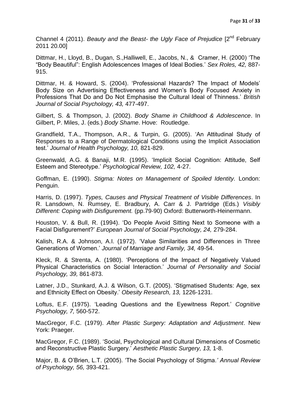Channel 4 (2011). *Beauty and the Beast- the Ugly Face of Prejudice* [2nd February 2011 20.00]

Dittmar, H., Lloyd, B., Dugan, S.,Halliwell, E., Jacobs, N., & Cramer, H. (2000) "The "Body Beautiful": English Adolescences Images of Ideal Bodies." *Sex Roles, 42,* 887- 915.

Dittmar, H. & Howard, S. (2004). "Professional Hazards? The Impact of Models" Body Size on Advertising Effectiveness and Women"s Body Focused Anxiety in Professions That Do and Do Not Emphasise the Cultural Ideal of Thinness." *British Journal of Social Psychology, 43,* 477-497.

Gilbert, S. & Thompson, J. (2002). *Body Shame in Childhood & Adolescence*. In Gilbert, P. Miles, J. (eds.) *Body Shame*. Hove: Routledge.

Grandfield, T.A., Thompson, A.R., & Turpin, G. (2005). "An Attitudinal Study of Responses to a Range of Dermatological Conditions using the Implicit Association test." *Journal of Health Psychology, 10,* 821-829.

Greenwald, A.G. & Banaji, M.R. (1995). "Implicit Social Cognition: Attitude, Self Esteem and Stereotype." *Psychological Review, 102,* 4-27.

Goffman, E. (1990). *Stigma: Notes on Management of Spoiled Identity.* London: Penguin.

Harris, D. (1997). *Types, Causes and Physical Treatment of Visible Differences*. In R. Lansdown, N. Rumsey, E. Bradbury, A. Carr & J. Partridge (Eds.) *Visibly Different: Coping with Disfigurement.* (pp.79-90) Oxford: Butterworth-Heinermann.

Houston, V. & Bull, R. (1994). "Do People Avoid Sitting Next to Someone with a Facial Disfigurement?" *European Journal of Social Psychology, 24,* 279-284.

Kalish, R.A. & Johnson, A.I. (1972). "Value Similarities and Differences in Three Generations of Women." *Journal of Marriage and Family, 34,* 49-54.

Kleck, R. & Strenta, A. (1980). "Perceptions of the Impact of Negatively Valued Physical Characteristics on Social Interaction." *Journal of Personality and Social Psychology, 39,* 861-873.

Latner, J.D., Stunkard, A.J. & Wilson, G.T. (2005). "Stigmatised Students: Age, sex and Ethnicity Effect on Obesity." *Obesity Research, 13,* 1226-1231.

Loftus, E.F. (1975). "Leading Questions and the Eyewitness Report." *Cognitive Psychology, 7,* 560-572.

MacGregor, F.C. (1979). *After Plastic Surgery: Adaptation and Adjustment*. New York: Praeger.

MacGregor, F.C. (1989). "Social, Psychological and Cultural Dimensions of Cosmetic and Reconstructive Plastic Surgery." *Aesthetic Plastic Surgery, 13,* 1-8.

Major, B. & O"Brien, L.T. (2005). "The Social Psychology of Stigma.*" Annual Review of Psychology, 56,* 393-421.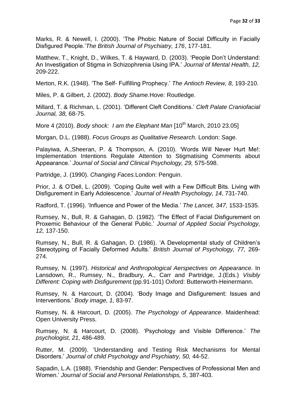Marks, R. & Newell, I. (2000). "The Phobic Nature of Social Difficulty in Facially Disfigured People."*The British Journal of Psychiatry, 176*, 177-181.

Matthew, T., Knight, D., Wilkes, T. & Hayward, D. (2003). "People Don"t Understand: An Investigation of Stigma in Schizophrenia Using IPA." *Journal of Mental Health, 12,*  209-222.

Merton, R.K. (1948). "The Self- Fulfilling Prophecy." *The Antioch Review, 8,* 193-210.

Miles, P. & Gilbert, J. (2002). *Body Shame.*Hove: Routledge.

Millard, T. & Richman, L. (2001). "Different Cleft Conditions." *Cleft Palate Craniofacial Journal, 38,* 68-75.

More 4 (2010). *Body shock: I am the Elephant Man* [10<sup>th</sup> March, 2010 23.05]

Morgan, D.L. (1988). *Focus Groups as Qualitative Research.* London: Sage.

Palayiwa, A.,Sheeran, P. & Thompson, A. (2010). "Words Will Never Hurt Me!: Implementation Intentions Regulate Attention to Stigmatising Comments about Appearance." *Journal of Social and Clinical Psychology, 29,* 575-598.

Partridge, J. (1990). *Changing Faces.*London: Penguin.

Prior, J. & O"Dell, L. (2009). "Coping Quite well with a Few Difficult Bits. Living with Disfigurement in Early Adolescence." *Journal of Health Psychology, 14*, 731-740.

Radford, T. (1996). "Influence and Power of the Media." *The Lancet, 347,* 1533-1535.

Rumsey, N., Bull, R. & Gahagan, D. (1982). "The Effect of Facial Disfigurement on Proxemic Behaviour of the General Public." *Journal of Applied Social Psychology, 12,* 137-150.

Rumsey, N., Bull, R. & Gahagan, D. (1986). "A Developmental study of Children"s Stereotyping of Facially Deformed Adults." *British Journal of Psychology, 77,* 269- 274.

Rumsey, N. (1997). *Historical and Anthropological Aerspectives on Appearance.* In Lansdown, R., Rumsey, N., Bradbury, A., Carr and Partridge, J.(Eds.) *Visibly Different: Coping with Disfigurement.*(pp.91-101) Oxford: Butterworth-Heinermann.

Rumsey, N. & Harcourt, D. (2004). "Body Image and Disfigurement: Issues and Interventions." *Body image, 1,* 83-97.

Rumsey, N. & Harcourt, D. (2005). *The Psychology of Appearance*. Maidenhead: Open University Press.

Rumsey, N. & Harcourt, D. (2008). "Psychology and Visible Difference." *The psychologist, 21,* 486-489.

Rutter, M. (2009). "Understanding and Testing Risk Mechanisms for Mental Disorders." *Journal of child Psychology and Psychiatry, 50,* 44-52.

Sapadin, L.A. (1988). "Friendship and Gender: Perspectives of Professional Men and Women." *Journal of Social and Personal Relationships, 5*, 387-403.